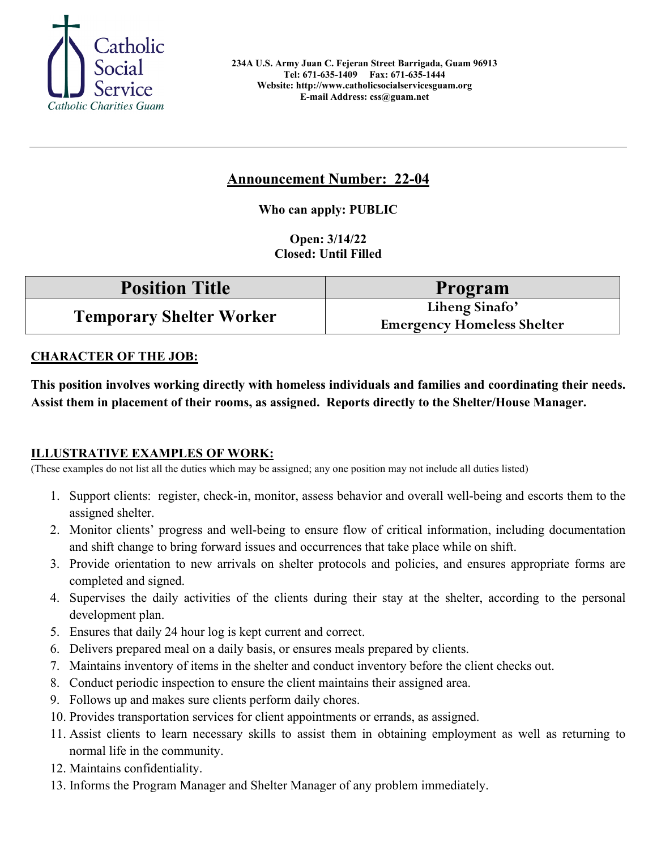

# **Announcement Number: 22-04**

**Who can apply: PUBLIC**

**Open: 3/14/22 Closed: Until Filled** 

| <b>Position Title</b>           | <b>Program</b>                                      |
|---------------------------------|-----------------------------------------------------|
| <b>Temporary Shelter Worker</b> | Liheng Sinafo'<br><b>Emergency Homeless Shelter</b> |

#### **CHARACTER OF THE JOB:**

**This position involves working directly with homeless individuals and families and coordinating their needs. Assist them in placement of their rooms, as assigned. Reports directly to the Shelter/House Manager.** 

#### **ILLUSTRATIVE EXAMPLES OF WORK:**

(These examples do not list all the duties which may be assigned; any one position may not include all duties listed)

- 1. Support clients: register, check-in, monitor, assess behavior and overall well-being and escorts them to the assigned shelter.
- 2. Monitor clients' progress and well-being to ensure flow of critical information, including documentation and shift change to bring forward issues and occurrences that take place while on shift.
- 3. Provide orientation to new arrivals on shelter protocols and policies, and ensures appropriate forms are completed and signed.
- 4. Supervises the daily activities of the clients during their stay at the shelter, according to the personal development plan.
- 5. Ensures that daily 24 hour log is kept current and correct.
- 6. Delivers prepared meal on a daily basis, or ensures meals prepared by clients.
- 7. Maintains inventory of items in the shelter and conduct inventory before the client checks out.
- 8. Conduct periodic inspection to ensure the client maintains their assigned area.
- 9. Follows up and makes sure clients perform daily chores.
- 10. Provides transportation services for client appointments or errands, as assigned.
- 11. Assist clients to learn necessary skills to assist them in obtaining employment as well as returning to normal life in the community.
- 12. Maintains confidentiality.
- 13. Informs the Program Manager and Shelter Manager of any problem immediately.